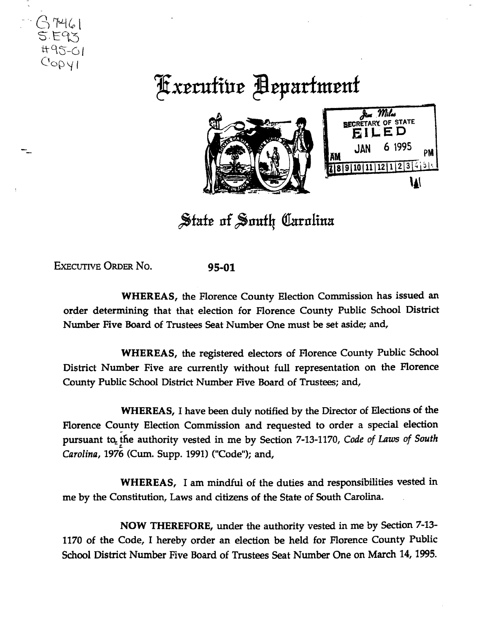

## **Kxecutive Bepartment**



**W** 

State of South Carolina

EXECUTIVE ORDER No. 95-01

WHEREAS, the Florence County Election Commission has issued an order determining that that election for Florence County Public School District Number Five Board of Trustees Seat Number One must be set aside; and,

WHEREAS, the registered electors of Florence County Public School District Number Five are currently without full representation on the Florence County Public School District Number Five Board of Trustees; and,

WHEREAS, I have been duly notified by the Director of Elections of the Florence County Election Commission and requested to order a special election pursuant to the authority vested in me by Section 7-13-1170, *Code of Laws of South Carolina, 1976* (Cum. Supp. 1991) ("Code"); and,

WHEREAS, I am mindful of the duties and responsibilities vested in me by the Constitution, Laws and citizens of the State of South Carolina.

NOW THEREFORE, under the authority vested in me by Section 7-13- 1170 of the Code, I hereby order an election be held for Florence County Public School District Number Five Board of Trustees Seat Number One on March 14, 1995.